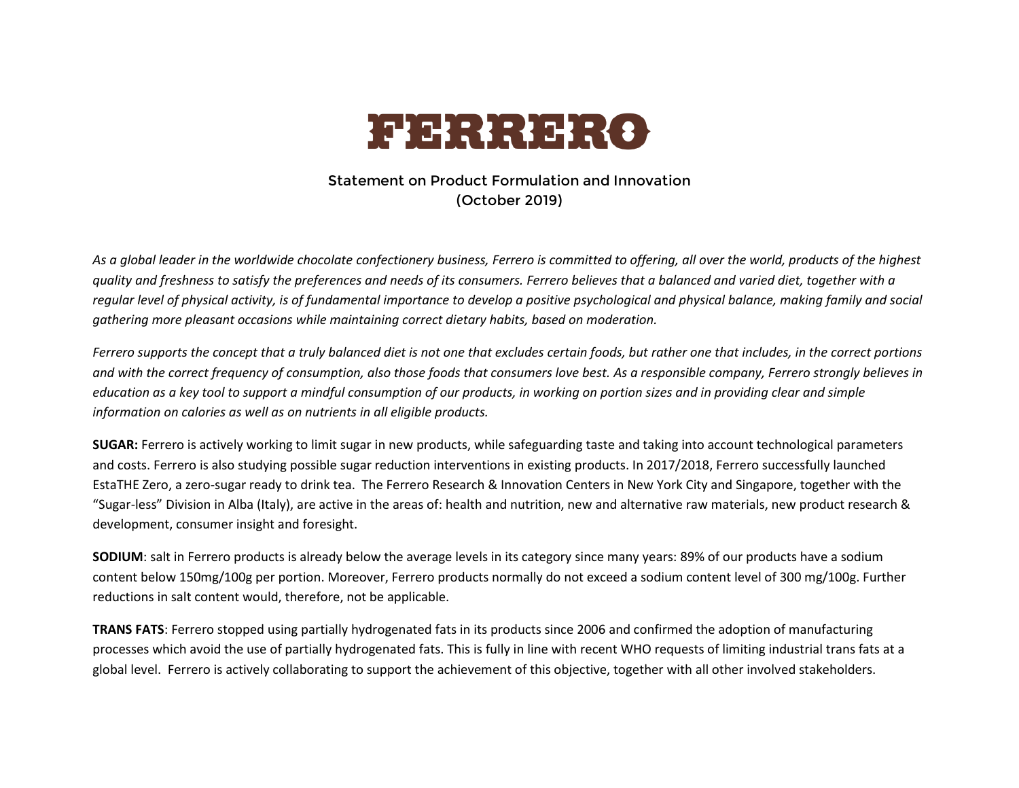

## Statement on Product Formulation and Innovation (October 2019)

*As a global leader in the worldwide chocolate confectionery business, Ferrero is committed to offering, all over the world, products of the highest quality and freshness to satisfy the preferences and needs of its consumers. Ferrero believes that a balanced and varied diet, together with a regular level of physical activity, is of fundamental importance to develop a positive psychological and physical balance, making family and social gathering more pleasant occasions while maintaining correct dietary habits, based on moderation.* 

*Ferrero supports the concept that a truly balanced diet is not one that excludes certain foods, but rather one that includes, in the correct portions and with the correct frequency of consumption, also those foods that consumers love best. As a responsible company, Ferrero strongly believes in education as a key tool to support a mindful consumption of our products, in working on portion sizes and in providing clear and simple information on calories as well as on nutrients in all eligible products.* 

**SUGAR:** Ferrero is actively working to limit sugar in new products, while safeguarding taste and taking into account technological parameters and costs. Ferrero is also studying possible sugar reduction interventions in existing products. In 2017/2018, Ferrero successfully launched EstaTHE Zero, a zero-sugar ready to drink tea. The Ferrero Research & Innovation Centers in New York City and Singapore, together with the "Sugar-less" Division in Alba (Italy), are active in the areas of: health and nutrition, new and alternative raw materials, new product research & development, consumer insight and foresight.

**SODIUM**: salt in Ferrero products is already below the average levels in its category since many years: 89% of our products have a sodium content below 150mg/100g per portion. Moreover, Ferrero products normally do not exceed a sodium content level of 300 mg/100g. Further reductions in salt content would, therefore, not be applicable.

**TRANS FATS**: Ferrero stopped using partially hydrogenated fats in its products since 2006 and confirmed the adoption of manufacturing processes which avoid the use of partially hydrogenated fats. This is fully in line with recent WHO requests of limiting industrial trans fats at a global level. Ferrero is actively collaborating to support the achievement of this objective, together with all other involved stakeholders.